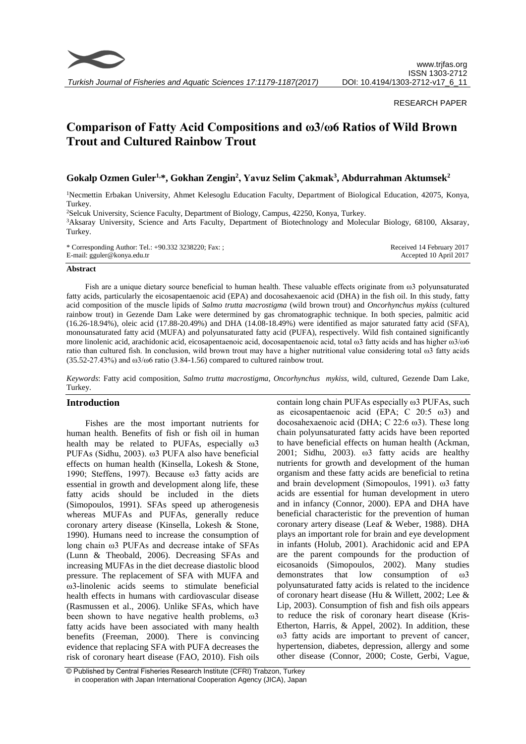

*Turkish Journal of Fisheries and Aquatic Sciences 17:1179-1187(2017)*

#### RESEARCH PAPER

# **Comparison of Fatty Acid Compositions and ω3/ω6 Ratios of Wild Brown Trout and Cultured Rainbow Trout**

## **Gokalp Ozmen Guler1,\*, Gokhan Zengin<sup>2</sup> , Yavuz Selim Çakmak<sup>3</sup> , Abdurrahman Aktumsek<sup>2</sup>**

<sup>1</sup>Necmettin Erbakan University, Ahmet Kelesoglu Education Faculty, Department of Biological Education, 42075, Konya, Turkey.

<sup>2</sup>Selcuk University, Science Faculty, Department of Biology, Campus, 42250, Konya, Turkey.

<sup>3</sup>Aksaray University, Science and Arts Faculty, Department of Biotechnology and Molecular Biology, 68100, Aksaray, Turkey.

| * Corresponding Author: Tel.: +90.332 3238220; Fax: ; | Received 14 February 2017 |
|-------------------------------------------------------|---------------------------|
| E-mail: gguler@konya.edu.tr                           | Accepted 10 April 2017    |

#### **Abstract**

Fish are a unique dietary source beneficial to human health. These valuable effects originate from ω3 polyunsaturated fatty acids, particularly the eicosapentaenoic acid (EPA) and docosahexaenoic acid (DHA) in the fish oil. In this study, fatty acid composition of the muscle lipids of *Salmo trutta macrostigma* (wild brown trout) and *Oncorhynchus mykiss* (cultured rainbow trout) in Gezende Dam Lake were determined by gas chromatographic technique. In both species, palmitic acid (16.26-18.94%), oleic acid (17.88-20.49%) and DHA (14.08-18.49%) were identified as major saturated fatty acid (SFA), monounsaturated fatty acid (MUFA) and polyunsaturated fatty acid (PUFA), respectively. Wild fish contained significantly more linolenic acid, arachidonic acid, eicosapentaenoic acid, docosapentaenoic acid, total ω3 fatty acids and has higher ω3/ω6 ratio than cultured fish. In conclusion, wild brown trout may have a higher nutritional value considering total ω3 fatty acids  $(35.52-27.43%)$  and  $\omega$ 3/ $\omega$ 6 ratio  $(3.84-1.56)$  compared to cultured rainbow trout.

*Keywords*: Fatty acid composition, *Salmo trutta macrostigma*, *Oncorhynchus mykiss,* wild, cultured, Gezende Dam Lake, Turkey.

#### **Introduction**

Fishes are the most important nutrients for human health. Benefits of fish or fish oil in human health may be related to PUFAs, especially ω3 PUFAs (Sidhu, 2003). ω3 PUFA also have beneficial effects on human health (Kinsella, Lokesh & Stone, 1990; Steffens, 1997). Because ω3 fatty acids are essential in growth and development along life, these fatty acids should be included in the diets (Simopoulos, 1991). SFAs speed up atherogenesis whereas MUFAs and PUFAs, generally reduce coronary artery disease (Kinsella, Lokesh & Stone, 1990). Humans need to increase the consumption of long chain ω3 PUFAs and decrease intake of SFAs (Lunn & Theobald, 2006). Decreasing SFAs and increasing MUFAs in the diet decrease diastolic blood pressure. The replacement of SFA with MUFA and ω3-linolenic acids seems to stimulate beneficial health effects in humans with cardiovascular disease (Rasmussen et al., 2006). Unlike SFAs, which have been shown to have negative health problems, ω3 fatty acids have been associated with many health benefits (Freeman, 2000). There is convincing evidence that replacing SFA with PUFA decreases the risk of coronary heart disease (FAO, 2010). Fish oils

contain long chain PUFAs especially ω3 PUFAs, such as eicosapentaenoic acid (EPA; C 20:5 ω3) and docosahexaenoic acid (DHA; C 22:6 ω3). These long chain polyunsaturated fatty acids have been reported to have beneficial effects on human health [\(Ackman,](#page-6-0)  [2001;](#page-6-0) [Sidhu, 2003\)](#page-8-0). ω3 fatty acids are healthy nutrients for growth and development of the human organism and these fatty acids are beneficial to retina and brain development (Simopoulos, 1991). ω3 fatty acids are essential for human development in utero and in infancy (Connor, 2000). EPA and DHA have beneficial characteristic for the prevention of human coronary artery disease (Leaf & Weber, 1988). DHA plays an important role for brain and eye development in infants (Holub, 2001). Arachidonic acid and EPA are the parent compounds for the production of eicosanoids (Simopoulos, 2002). Many studies demonstrates that low consumption of ω3 polyunsaturated fatty acids is related to the incidence of coronary heart disease [\(Hu & Willett, 2002;](#page-7-0) [Lee &](#page-7-1)  [Lip, 2003\)](#page-7-1). Consumption of fish and fish oils appears to reduce the risk of coronary heart disease [\(Kris-](#page-7-2)[Etherton, Harris, & Appel, 2002\)](#page-7-2). In addition, these ω3 fatty acids are important to prevent of cancer, hypertension, diabetes, depression, allergy and some other disease [\(Connor, 2000;](#page-6-1) [Coste, Gerbi, Vague,](#page-6-2) 

<sup>©</sup> Published by Central Fisheries Research Institute (CFRI) Trabzon, Turkey in cooperation with Japan International Cooperation Agency (JICA), Japan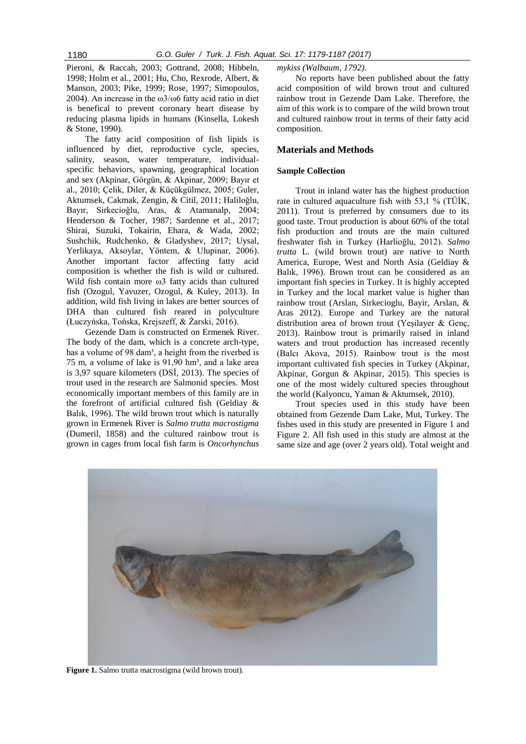[Pieroni, & Raccah, 2003;](#page-6-2) [Gottrand, 2008;](#page-6-3) [Hibbeln,](#page-7-3)  [1998;](#page-7-3) Holm [et al., 2001;](#page-7-4) [Hu, Cho, Rexrode, Albert, &](#page-7-5)  [Manson, 2003;](#page-7-5) [Pike, 1999;](#page-7-6) [Rose, 1997;](#page-7-7) [Simopoulos,](#page-8-1)  [2004\)](#page-8-1). An increase in the  $\omega$ 3/ $\omega$ 6 fatty acid ratio in diet is benefical to prevent coronary heart disease by reducing plasma lipids in humans (Kinsella, Lokesh & Stone, 1990).

The fatty acid composition of fish lipids is influenced by diet, reproductive cycle, species, salinity, season, water temperature, individualspecific behaviors, spawning, geographical location and sex [\(Akpinar, Görgün, & Akpinar, 2009;](#page-6-4) [Bayır et](#page-6-5)  [al., 2010;](#page-6-5) [Çelik, Diler, & Küçükgülmez, 2005;](#page-6-6) [Guler,](#page-6-7)  [Aktumsek, Cakmak, Zengin, & Citil, 2011;](#page-6-7) Haliloğlu, Bayır, Sirkecioğlu, Aras, & Atamanalp, 2004; [Henderson & Tocher, 1987;](#page-7-9) [Sardenne et al., 2017;](#page-8-2) [Shirai, Suzuki, Tokairin, Ehara, & Wada, 2002;](#page-8-3) [Sushchik, Rudchenko, & Gladyshev, 2017;](#page-8-4) [Uysal,](#page-8-5)  [Yerlikaya, Aksoylar, Yöntem, & Ulupinar, 2006\)](#page-8-5). Another important factor affecting fatty acid composition is whether the fish is wild or cultured. Wild fish contain more ω3 fatty acids than cultured fish [\(Ozogul, Yavuzer, Ozogul, & Kuley, 2013\)](#page-7-10). In addition, wild fish living in lakes are better sources of DHA than cultured fish reared in polyculture [\(Łuczyńska, Tońska, Krejszeff, & Żarski, 2016\)](#page-7-11).

Gezende Dam is constructed on Ermenek River. The body of the dam, which is a concrete arch-type, has a volume of 98 dam<sup>3</sup>, a height from the riverbed is 75 m, a volume of lake is 91,90 hm<sup>3</sup>, and a lake area is 3,97 square kilometers [\(DSİ,](#page-6-8) 2013). The species of trout used in the research are Salmonid species. Most economically important members of this family are in the forefront of artificial cultured fish [\(Geldiay &](#page-6-9)  [Balık, 1996\)](#page-6-9). The wild brown trout which is naturally grown in Ermenek River is *Salmo trutta macrostigma*  (Dumeril, 1858) and the cultured rainbow trout is grown in cages from local fish farm is *Oncorhynchus*  *mykiss (Walbaum, 1792)*.

No reports have been published about the fatty acid composition of wild brown trout and cultured rainbow trout in Gezende Dam Lake. Therefore, the aim of this work is to compare of the wild brown trout and cultured rainbow trout in terms of their fatty acid composition.

## **Materials and Methods**

#### **Sample Collection**

Trout in inland water has the highest production rate in cultured aquaculture fish with 53,1 % (TÜİK, 2011). Trout is preferred by consumers due to its good taste. Trout production is about 60% of the total fish production and trouts are the main cultured freshwater fish in Turkey (Harlioğlu, 2012). *Salmo trutta* L. (wild brown trout) are native to North America, Europe, West and North Asia [\(Geldiay &](#page-6-9)  [Balık, 1996\)](#page-6-9). Brown trout can be considered as an important fish species in Turkey. It is highly accepted in Turkey and the local market value is higher than rainbow trout [\(Arslan, Sirkecioglu, Bayir, Arslan, &](#page-6-10)  Aras 2012). Europe and Turkey are the natural distribution area of brown trout [\(Yeşilayer & Genç,](#page-8-6)  [2013\)](#page-8-6). Rainbow trout is primarily raised in inland waters and trout production has increased recently (Balcı Akova, 2015). Rainbow trout is the most important cultivated fish species in Turkey (Akpinar, Akpinar, Gorgun & Akpinar, 2015). This species is one of the most widely cultured species throughout the world (Kalyoncu, Yaman & Aktumsek, 2010).

Trout species used in this study have been obtained from Gezende Dam Lake, Mut, Turkey. The fishes used in this study are presented in Figure 1 and Figure 2. All fish used in this study are almost at the same size and age (over 2 years old). Total weight and



**Figure 1.** Salmo trutta macrostigma (wild brown trout).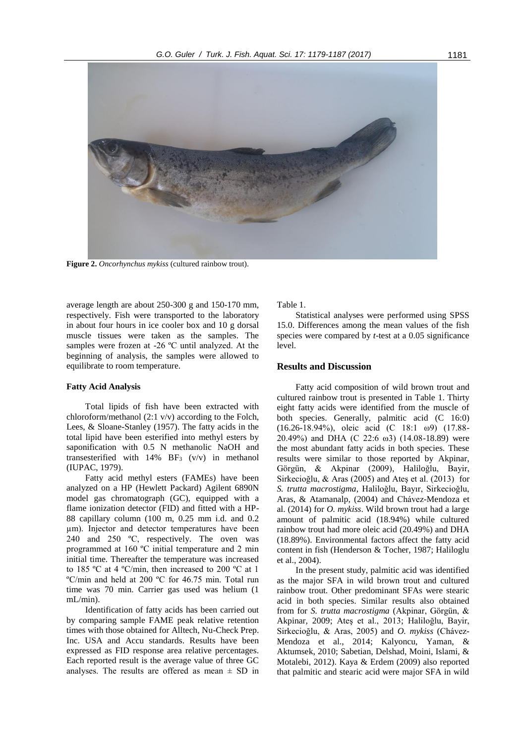

**Figure 2.** *Oncorhynchus mykiss* (cultured rainbow trout).

average length are about 250-300 g and 150-170 mm, respectively. Fish were transported to the laboratory in about four hours in ice cooler box and 10 g dorsal muscle tissues were taken as the samples. The samples were frozen at -26 ºC until analyzed. At the beginning of analysis, the samples were allowed to equilibrate to room temperature.

#### **Fatty Acid Analysis**

Total lipids of fish have been extracted with chloroform/methanol (2:1 v/v) according to the Folch, Lees, & Sloane-Stanley (1957). The fatty acids in the total lipid have been esterified into methyl esters by saponification with 0.5 N methanolic NaOH and transesterified with  $14\%$  BF<sub>3</sub> (v/v) in methanol [\(IUPAC, 1979\)](#page-7-12).

Fatty acid methyl esters (FAMEs) have been analyzed on a HP (Hewlett Packard) Agilent 6890N model gas chromatograph (GC), equipped with a flame ionization detector (FID) and fitted with a HP-88 capillary column (100 m, 0.25 mm i.d. and 0.2 µm). Injector and detector temperatures have been 240 and 250 ºC, respectively. The oven was programmed at 160 ºC initial temperature and 2 min initial time. Thereafter the temperature was increased to 185 ºC at 4 ºC/min, then increased to 200 ºC at 1 ºC/min and held at 200 ºC for 46.75 min. Total run time was 70 min. Carrier gas used was helium (1 mL/min).

Identification of fatty acids has been carried out by comparing sample FAME peak relative retention times with those obtained for Alltech, Nu-Check Prep. Inc. USA and Accu standards. Results have been expressed as FID response area relative percentages. Each reported result is the average value of three GC analyses. The results are offered as mean  $\pm$  SD in Table 1.

Statistical analyses were performed using SPSS 15.0. Differences among the mean values of the fish species were compared by *t*-test at a 0.05 significance level.

#### **Results and Discussion**

Fatty acid composition of wild brown trout and cultured rainbow trout is presented in Table 1. Thirty eight fatty acids were identified from the muscle of both species. Generally, palmitic acid (C 16:0) (16.26-18.94%), oleic acid (C 18:1 ω9) (17.88- 20.49%) and DHA (C 22:6 ω3) (14.08-18.89) were the most abundant fatty acids in both species. These results were similar to those reported by [Akpinar,](#page-6-4)  Görgün, & Akpinar (2009), [Haliloğlu, Bayir,](#page-7-13)  Sirkecioğlu, & Aras (2005) and [Ateş et al. \(2013\)](#page-6-11) for *S. trutta macrostigma*, [Haliloǧlu, Bayır, Sirkecioǧlu,](#page-7-8)  [Aras, & Atamanalp, \(2004\)](#page-7-8) and [Chávez-Mendoza et](#page-6-12)  al. (2014) for *O. mykiss*. Wild brown trout had a large amount of palmitic acid (18.94%) while cultured rainbow trout had more oleic acid (20.49%) and DHA (18.89%). Environmental factors affect the fatty acid content in fish (Henderson & Tocher, 1987; Haliloglu et al., 2004).

In the present study, palmitic acid was identified as the major SFA in wild brown trout and cultured rainbow trout. Other predominant SFAs were stearic acid in both species. Similar results also obtained from for *S. trutta macrostigma* [\(Akpinar, Görgün, &](#page-6-4)  Akpinar, 2009; [Ateş et al., 2013;](#page-6-11) [Haliloğlu, Bayir,](#page-7-13)  Sirkecioğlu, & Aras, 2005) and *O. mykiss* [\(Chávez-](#page-6-12)[Mendoza et al., 2014;](#page-6-12) [Kalyoncu, Yaman, &](#page-7-14)  [Aktumsek, 2010;](#page-7-14) [Sabetian, Delshad, Moini, Islami, &](#page-8-7)  [Motalebi, 2012\)](#page-8-7). Kaya & Erdem (2009) also reported that palmitic and stearic acid were major SFA in wild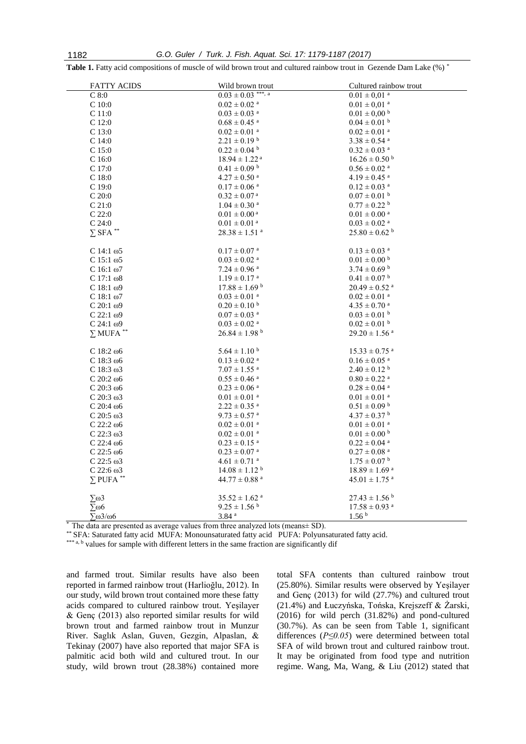| <b>FATTY ACIDS</b>           | Wild brown trout              | Cultured rainbow trout        |
|------------------------------|-------------------------------|-------------------------------|
| C8:0                         | $0.03 \pm 0.03$ ***, a        | $0.01\pm0.01$ $^{\rm a}$      |
| $\rm C$ 10:0                 | $0.02 \pm 0.02$ <sup>a</sup>  | $0.01 \pm 0.01$ <sup>a</sup>  |
| C <sub>11:0</sub>            | $0.03 \pm 0.03$ <sup>a</sup>  | $0.01 \pm 0.00$ b             |
| $C$ 12:0                     | $0.68 \pm 0.45$ <sup>a</sup>  | $0.04 \pm 0.01$ b             |
| C <sub>13:0</sub>            | $0.02 \pm 0.01$ <sup>a</sup>  | $0.02 \pm 0.01$ <sup>a</sup>  |
| $C$ 14:0                     | $2.21 \pm 0.19$ b             | $3.38 \pm 0.54$ <sup>a</sup>  |
| C <sub>15:0</sub>            | $0.22 \pm 0.04$ b             | $0.32 \pm 0.03$ <sup>a</sup>  |
| C16:0                        | $18.94 \pm 1.22$ <sup>a</sup> | $16.26 \pm 0.50^{\circ}$      |
| C17:0                        | $0.41 \pm 0.09$ b             | $0.56 \pm 0.02$ <sup>a</sup>  |
| C18:0                        | $4.27\pm0.50$ $^{\rm a}$      | $4.19\pm0.45$ $^{\rm a}$      |
| C19:0                        | $0.17 \pm 0.06$ <sup>a</sup>  | $0.12 \pm 0.03$ <sup>a</sup>  |
| C20:0                        | $0.32 \pm 0.07$ <sup>a</sup>  | $0.07 \pm 0.01$ b             |
| $C$ 21:0                     | $1.04\pm0.30$ $^{\rm a}$      | $0.77\pm0.22$ $^{\rm b}$      |
| $C$ 22:0                     | $0.01 \pm 0.00^{\text{ a}}$   | $0.01 \pm 0.00$ <sup>a</sup>  |
| C24:0                        | $0.01\pm0.01$ $^{\rm a}$      | $0.03 \pm 0.02$ <sup>a</sup>  |
| $\sum$ SFA $^{**}$           | $28.38 \pm 1.51$ <sup>a</sup> | $25.80 \pm 0.62$ <sup>b</sup> |
|                              |                               |                               |
| C 14:1 $\omega$ 5            | $0.17 \pm 0.07$ <sup>a</sup>  | $0.13 \pm 0.03$ <sup>a</sup>  |
| C $15:1\omega$               | $0.03 \pm 0.02$ <sup>a</sup>  | $0.01 \pm 0.00$ b             |
| C $16:1\omega$               | $7.24 \pm 0.96$ <sup>a</sup>  | $3.74 \pm 0.69$ b             |
| C $17:1\omega8$              | $1.19 \pm 0.17$ <sup>a</sup>  | $0.41 \pm 0.07$ b             |
| C $18:1\omega$ 9             | $17.88 \pm 1.69$ b            | $20.49 \pm 0.52$ <sup>a</sup> |
| C $18:1\omega$               | $0.03 \pm 0.01$ <sup>a</sup>  | $0.02 \pm 0.01$ <sup>a</sup>  |
| C $20:1 \omega$ 9            | $0.20 \pm 0.10^{\text{ b}}$   | $4.35\pm0.70$ $^{\rm a}$      |
| C 22:1 $\omega$ 9            | $0.07 \pm 0.03$ <sup>a</sup>  | $0.03 \pm 0.01$ b             |
| $C$ 24:1 $\omega$ 9          | $0.03 \pm 0.02$ <sup>a</sup>  | $0.02 \pm 0.01$ b             |
| $\Sigma$ MUFA $^{**}$        | $26.84 \pm 1.98$ b            | $29.20 \pm 1.56$ <sup>a</sup> |
|                              |                               |                               |
| $C$ 18:2 $\omega$ 6          | $5.64 \pm 1.10^{\text{ b}}$   | $15.33 \pm 0.75$ <sup>a</sup> |
| C $18:3\omega$               | $0.13 \pm 0.02$ <sup>a</sup>  | $0.16 \pm 0.05$ <sup>a</sup>  |
| C 18:3 $\omega$ 3            | $7.07 \pm 1.55$ <sup>a</sup>  | $2.40 \pm 0.12$ <sup>b</sup>  |
| $C$ 20:2 $\omega$ 6          | $0.55 \pm 0.46$ <sup>a</sup>  | $0.80\pm0.22$ a               |
| $C20:3\omega$                | $0.23 \pm 0.06$ <sup>a</sup>  | $0.28\pm0.04$ $^{\rm a}$      |
| $C$ 20:3 $\omega$ 3          | $0.01 \pm 0.01$ <sup>a</sup>  | $0.01 \pm 0.01$ <sup>a</sup>  |
| $C$ 20:4 $\omega$ 6          | $2.22 \pm 0.35$ <sup>a</sup>  | $0.51\pm0.09$ $^{\rm b}$      |
| $C$ 20:5 $\omega$ 3          | $9.73 \pm 0.57$ <sup>a</sup>  | $4.37 \pm 0.37$ b             |
| C 22:2 $\omega$ 6            | $0.02 \pm 0.01$ <sup>a</sup>  | $0.01 \pm 0.01$ <sup>a</sup>  |
| $C$ 22:3 $\omega$ 3          | $0.02 \pm 0.01$ <sup>a</sup>  | $0.01\pm0.00$ $^{\rm b}$      |
| $C$ 22:4 $\omega$ 6          | $0.23 \pm 0.15$ <sup>a</sup>  | $0.22 \pm 0.04$ <sup>a</sup>  |
| $C$ 22:5 $\omega$ 6          | $0.23 \pm 0.07$ <sup>a</sup>  | $0.27 \pm 0.08$ <sup>a</sup>  |
| C 22:5 $\omega$ 3            | $4.61 \pm 0.71$ <sup>a</sup>  | $1.75 \pm 0.07$ b             |
| C 22:6 $\omega$ 3            | $14.08 \pm 1.12$ <sup>b</sup> | $18.89\pm1.69$ a              |
| $\Sigma$ PUFA **             | $44.77 \pm 0.88$ <sup>a</sup> | $45.01 \pm 1.75$ <sup>a</sup> |
|                              |                               |                               |
| $\Sigma\omega3$              | $35.52 \pm 1.62$ <sup>a</sup> | $27.43 \pm 1.56$ <sup>b</sup> |
| $\Sigma$ ω6                  | $9.25 \pm 1.56^{\mathrm{b}}$  | $17.58\pm0.93$ $^{\rm a}$     |
| $\Sigma\omega$ 3/ $\omega$ 6 | 3.84 <sup>a</sup>             | 1.56 <sup>b</sup>             |
|                              |                               |                               |

**Table 1.** Fatty acid compositions of muscle of wild brown trout and cultured rainbow trout in Gezende Dam Lake (%) \*

\* The data are presented as average values from three analyzed lots (means± SD).

\*\* SFA: Saturated fatty acid MUFA: Monounsaturated fatty acid PUFA: Polyunsaturated fatty acid.

\*\*\* a, b values for sample with different letters in the same fraction are significantly dif

and farmed trout. Similar results have also been reported in farmed rainbow trout (Harlioğlu, 2012). In our study, wild brown trout contained more these fatty acids compared to cultured rainbow trout. [Yeşilayer](#page-8-6)  & Genç (2013) also reported similar results for wild brown trout and farmed rainbow trout in Munzur River. [Saglık Aslan, Guven, Gezgin, Alpaslan, &](#page-8-8)  [Tekinay \(2007\)](#page-8-8) have also reported that major SFA is palmitic acid both wild and cultured trout. In our study, wild brown trout (28.38%) contained more total SFA contents than cultured rainbow trout (25.80%). Similar results were observed by [Yeşilayer](#page-8-6)  and Genç (2013) for wild (27.7%) and cultured trout (21.4%) and [Łuczyńska, Tońska, Krejszeff & Żarski,](#page-7-11) [\(2016\)](#page-7-11) for wild perch (31.82%) and pond-cultured (30.7%). As can be seen from Table 1, significant differences (*P≤0.05*) were determined between total SFA of wild brown trout and cultured rainbow trout. It may be originated from food type and nutrition regime. Wang, Ma, Wang, & Liu (2012) stated that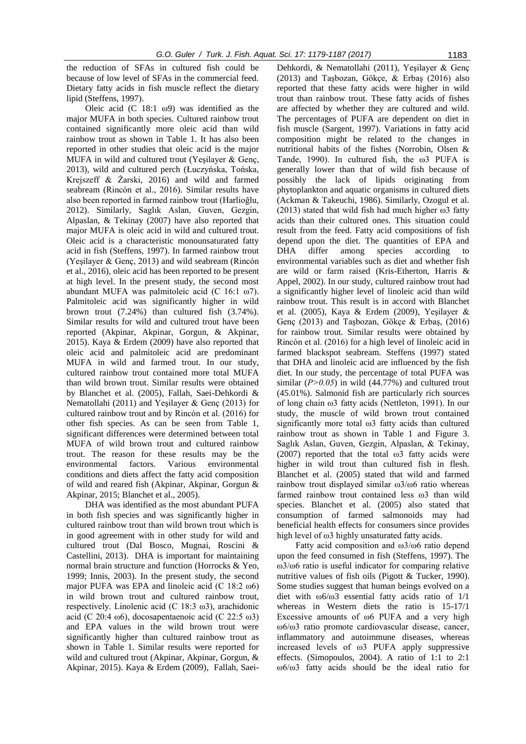the reduction of SFAs in cultured fish could be because of low level of SFAs in the commercial feed. Dietary fatty acids in fish muscle reflect the dietary lipid (Steffens, 1997).

Oleic acid (C 18:1  $\omega$ 9) was identified as the major MUFA in both species. Cultured rainbow trout contained significantly more oleic acid than wild rainbow trout as shown in Table 1. It has also been reported in other studies that oleic acid is the major MUFA in wild and cultured trout [\(Yeşilayer & Genç,](#page-8-6)  [2013\)](#page-8-6), wild and cultured perch [\(Łuczyńska, Tońska,](#page-7-11)  [Krejszeff & Żarski,](#page-7-11) 2016) and wild and farmed seabream [\(Rincón et al., 2016\)](#page-7-15). Similar results have also been reported in farmed rainbow trout (Harlioğlu, 2012). Similarly, [Saglık Aslan, Guven, Gezgin,](#page-8-8)  [Alpaslan, & Tekinay \(2007\)](#page-8-8) have also reported that major MUFA is oleic acid in wild and cultured trout. Oleic acid is a characteristic monounsaturated fatty acid in fish [\(Steffens, 1997\)](#page-8-9). In farmed rainbow trout [\(Yeşilayer & Genç, 2013\)](#page-8-6) and wild seabream [\(Rincón](#page-7-15)  [et al., 2016\)](#page-7-15), oleic acid has been reported to be present at high level. In the present study, the second most abundant MUFA was palmitoleic acid (C 16:1 ω7). Palmitoleic acid was significantly higher in wild brown trout (7.24%) than cultured fish (3.74%). Similar results for wild and cultured trout have been reported [\(Akpinar, Akpinar, Gorgun, & Akpinar,](#page-6-13)  [2015\)](#page-6-13). Kaya & Erdem (2009) have also reported that oleic acid and palmitoleic acid are predominant MUFA in wild and farmed trout. In our study, cultured rainbow trout contained more total MUFA than wild brown trout. Similar results were obtained by [Blanchet et al. \(2005\),](#page-6-14) [Fallah, Saei-Dehkordi &](#page-6-15)  Nematollahi (2011) and [Yeşilayer & Genç \(2013\)](#page-8-6) for cultured rainbow trout and by [Rincón et al. \(2016\)](#page-7-15) for other fish species. As can be seen from Table 1, significant differences were determined between total MUFA of wild brown trout and cultured rainbow trout. The reason for these results may be the environmental factors. Various environmental conditions and diets affect the fatty acid composition of wild and reared fish (Akpinar, Akpinar, Gorgun & Akpinar, 2015; Blanchet et al., 2005).

DHA was identified as the most abundant PUFA in both fish species and was significantly higher in cultured rainbow trout than wild brown trout which is in good agreement with in other study for wild and cultured trout [\(Dal Bosco, Mugnai, Roscini &](#page-6-16)  [Castellini, 2013\)](#page-6-16). DHA is important for maintaining normal brain structure and function [\(Horrocks & Yeo,](#page-7-16)  [1999;](#page-7-16) [Innis, 2003\)](#page-7-17). In the present study, the second major PUFA was EPA and linoleic acid (C  $18:2\ \omega_0$ ) in wild brown trout and cultured rainbow trout, respectively. Linolenic acid (C 18:3 ω3), arachidonic acid (C 20:4 ω6), docosapentaenoic acid (C 22:5 ω3) and EPA values in the wild brown trout were significantly higher than cultured rainbow trout as shown in Table 1. Similar results were reported for wild and cultured trout [\(Akpinar, Akpinar, Gorgun, &](#page-6-13)  [Akpinar, 2015\)](#page-6-13). [Kaya & Erdem \(2009\),](#page-7-18) [Fallah, Saei-](#page-6-15)

Dehkordi, & Nematollahi (2011), [Yeşilayer & Genç](#page-8-6)  (2013) and [Taşbozan, Gökçe, & Erbaş \(2016\)](#page-8-10) also reported that these fatty acids were higher in wild trout than rainbow trout. These fatty acids of fishes are affected by whether they are cultured and wild. The percentages of PUFA are dependent on diet in fish muscle (Sargent, 1997). Variations in fatty acid composition might be related to the changes in nutritional habits of the fishes (Norrobin, Olsen & Tande, 1990). In cultured fish, the ω3 PUFA is generally lower than that of wild fish because of possibly the lack of lipids originating from phytoplankton and aquatic organisms in cultured diets (Ackman & Takeuchi, 1986). Similarly, Ozogul et al. (2013) stated that wild fish had much higher  $\omega$ 3 fatty acids than their cultured ones. This situation could result from the feed. Fatty acid compositions of fish depend upon the diet. The quantities of EPA and DHA differ among species according to environmental variables such as diet and whether fish are wild or farm raised (Kris-Etherton, Harris & Appel, 2002). In our study, cultured rainbow trout had a significantly higher level of linoleic acid than wild rainbow trout. This result is in accord with [Blanchet](#page-6-14)  et al. (2005), [Kaya & Erdem \(2009\),](#page-7-18) [Yeşilayer &](#page-8-6)  Genç (2013) and [Taşbozan, Gökçe & Erbaş, \(2016\)](#page-8-10) for rainbow trout. Similar results were obtained by [Rincón et al. \(2016\)](#page-7-15) for a high level of linoleic acid in farmed blackspot seabream. Steffens (1997) stated that DHA and linoleic acid are influenced by the fish diet. In our study, the percentage of total PUFA was similar  $(P>0.05)$  in wild  $(44.77%)$  and cultured trout (45.01%). Salmonid fish are particularly rich sources of long chain ω3 fatty acids (Nettleton, 1991). In our study, the muscle of wild brown trout contained significantly more total ω3 fatty acids than cultured rainbow trout as shown in Table 1 and Figure 3. [Saglık Aslan, Guven, Gezgin, Alpaslan, & Tekinay,](#page-8-8)  [\(2007\)](#page-8-8) reported that the total  $\omega$ 3 fatty acids were higher in wild trout than cultured fish in flesh. [Blanchet et al. \(2005\)](#page-6-14) stated that wild and farmed rainbow trout displayed similar  $\omega$ 3/ $\omega$ 6 ratio whereas farmed rainbow trout contained less ω3 than wild species. [Blanchet et al. \(2005\)](#page-6-14) also stated that consumption of farmed salmonoids may had beneficial health effects for consumers since provides high level of ω3 highly unsaturated fatty acids.

Fatty acid composition and ω3/ω6 ratio depend upon the feed consumed in fish (Steffens, 1997). The ω3/ω6 ratio is useful indicator for comparing relative nutritive values of fish oils [\(Pigott & Tucker, 1990\)](#page-7-19). Some studies suggest that human beings evolved on a diet with ω6/ω3 essential fatty acids ratio of 1/1 whereas in Western diets the ratio is 15-17/1 Excessive amounts of ω6 PUFA and a very high ω6/ω3 ratio promote cardiovascular disease, cancer, inflammatory and autoimmune diseases, whereas increased levels of ω3 PUFA apply suppressive effects. (Simopoulos, 2004). A ratio of 1:1 to 2:1 ω6/ω3 fatty acids should be the ideal ratio for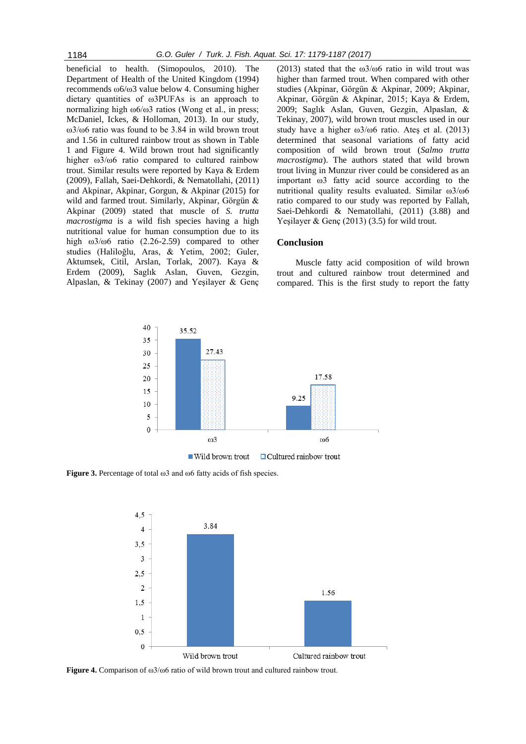beneficial to health. (Simopoulos, 2010). The Department of Health of the United Kingdom (1994) recommends ω6/ω3 value below 4. Consuming higher dietary quantities of ω3PUFAs is an approach to normalizing high ω6/ω3 ratios (Wong et al., in press; McDaniel, Ickes, & Holloman, 2013). In our study, ω3/ω6 ratio was found to be 3.84 in wild brown trout and 1.56 in cultured rainbow trout as shown in Table 1 and Figure 4. Wild brown trout had significantly higher ω3/ω6 ratio compared to cultured rainbow trout. Similar results were reported by [Kaya & Erdem](#page-7-18)  (2009), [Fallah, Saei-Dehkordi, & Nematollahi,](#page-6-15) (2011) and [Akpinar, Akpinar, Gorgun, & Akpinar \(2015\)](#page-6-13) for wild and farmed trout. Similarly, [Akpinar, Görgün &](#page-6-4)  Akpinar (2009) stated that muscle of *S. trutta macrostigma* is a wild fish species having a high nutritional value for human consumption due to its high ω3/ω6 ratio (2.26-2.59) compared to other studies (Haliloğlu, Aras, & Yetim, 2002; Guler, Aktumsek, Citil, Arslan, Torlak, 2007). Kaya & Erdem (2009), [Saglık Aslan, Guven, Gezgin,](#page-8-8)  [Alpaslan, & Tekinay \(2007\)](#page-8-8) and Yeşilayer & Genç

(2013) stated that the  $\omega$ 3/ $\omega$ 6 ratio in wild trout was higher than farmed trout. When compared with other studies [\(Akpinar, Görgün & Akpinar, 2009;](#page-6-4) [Akpinar,](#page-6-13)  [Akpinar, Görgün & Akpinar, 2015;](#page-6-13) [Kaya & Erdem,](#page-7-18)  [2009;](#page-7-18) [Saglık Aslan, Guven, Gezgin, Alpaslan, &](#page-8-8)  [Tekinay, 2007\)](#page-8-8), wild brown trout muscles used in our study have a higher ω3/ω6 ratio. [Ateş et al. \(2013\)](#page-6-11) determined that seasonal variations of fatty acid composition of wild brown trout (*Salmo trutta macrostigma*). The authors stated that wild brown trout living in Munzur river could be considered as an important ω3 fatty acid source according to the nutritional quality results evaluated. Similar ω3/ω6 ratio compared to our study was reported by [Fallah,](#page-6-15)  Saei-Dehkordi & Nematollahi, (2011) (3.88) and Yesilayer & Genc (2013) (3.5) for wild trout.

#### **Conclusion**

Muscle fatty acid composition of wild brown trout and cultured rainbow trout determined and compared. This is the first study to report the fatty



**Figure 3.** Percentage of total ω3 and ω6 fatty acids of fish species.



**Figure 4.** Comparison of ω3/ω6 ratio of wild brown trout and cultured rainbow trout.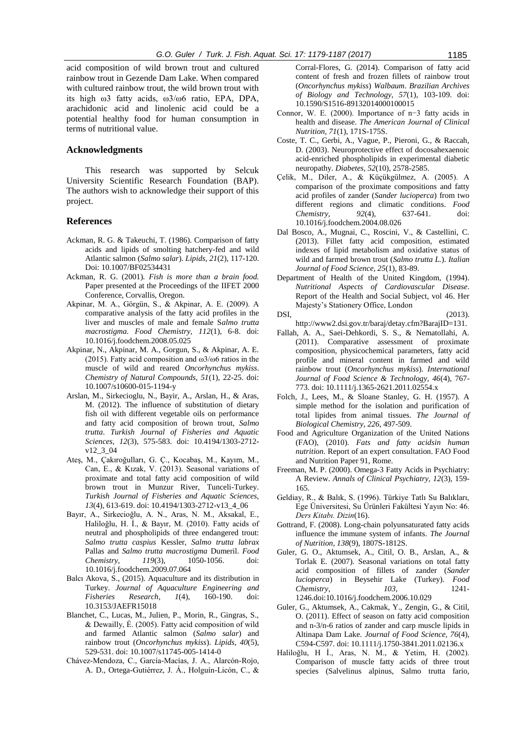acid composition of wild brown trout and cultured rainbow trout in Gezende Dam Lake. When compared with cultured rainbow trout, the wild brown trout with its high ω3 fatty acids, ω3/ω6 ratio, EPA, DPA, arachidonic acid and linolenic acid could be a potential healthy food for human consumption in terms of nutritional value.

## **Acknowledgments**

This research was supported by Selcuk University Scientific Research Foundation (BAP). The authors wish to acknowledge their support of this project.

### **References**

- Ackman, R. G. & Takeuchi, T. (1986). Comparison of fatty acids and lipids of smolting hatchery-fed and wild Atlantic salmon (*Salmo salar*). *Lipids*, *21*(2), 117-120. Doi: 10.1007/BF02534431
- <span id="page-6-0"></span>Ackman, R. G. (2001). *Fish is more than a brain food.* Paper presented at the Proceedings of the IIFET 2000 Conference, Corvallis, Oregon.
- <span id="page-6-4"></span>Akpinar, M. A., Görgün, S., & Akpinar, A. E. (2009). A comparative analysis of the fatty acid profiles in the liver and muscles of male and female S*almo trutta macrostigma*. *Food Chemistry, 112*(1), 6-8. doi: [10.1016/j.foodchem.2008.05.025](http://dx.doi.org/10.1016/j.foodchem.2008.05.025)
- <span id="page-6-13"></span>Akpinar, N., Akpinar, M. A., Gorgun, S., & Akpinar, A. E. (2015). Fatty acid composition and ω3/ω6 ratios in the muscle of wild and reared *Oncorhynchus mykiss*. *Chemistry of Natural Compounds, 51*(1), 22-25. doi: 10.1007/s10600-015-1194-y
- <span id="page-6-10"></span>Arslan, M., Sirkecioglu, N., Bayir, A., Arslan, H., & Aras, M. (2012). The influence of substitution of dietary fish oil with different vegetable oils on performance and fatty acid composition of brown trout, *Salmo trutta*. *Turkish Journal of Fisheries and Aquatic Sciences, 12*(3), 575-583. doi: 10.4194/1303-2712 v12\_3\_04
- <span id="page-6-11"></span>Ateş, M., Çakıroğulları, G. Ç., Kocabaş, M., Kayım, M., Can, E., & Kızak, V. (2013). Seasonal variations of proximate and total fatty acid composition of wild brown trout in Munzur River, Tunceli-Turkey. *Turkish Journal of Fisheries and Aquatic Sciences, 13*(4), 613-619. doi: 10.4194/1303-2712-v13\_4\_06
- <span id="page-6-5"></span>Bayır, A., Sirkecioğlu, A. N., Aras, N. M., Aksakal, E., Haliloğlu, H. İ., & Bayır, M. (2010). Fatty acids of neutral and phospholipids of three endangered trout: *Salmo trutta caspius* Kessler, *Salmo trutta labrax* Pallas and *Salmo trutta macrostigma* Dumeril. *Food Chemistry, 119*(3), 1050-1056. doi: [10.1016/j.foodchem.2009.07.064](http://dx.doi.org/10.1016/j.foodchem.2009.07.064)
- Balcı Akova, S., (2015). Aquaculture and its distribution in Turkey. *Journal of Aquaculture Engineering and Fisheries Research*, *1*(4), 160-190. doi: 10.3153/JAEFR15018
- <span id="page-6-14"></span>Blanchet, C., Lucas, M., Julien, P., Morin, R., Gingras, S., & Dewailly, É. (2005). Fatty acid composition of wild and farmed Atlantic salmon (*Salmo salar*) and rainbow trout (*Oncorhynchus mykiss*). *Lipids, 40*(5), 529-531. doi: 10.1007/s11745-005-1414-0
- <span id="page-6-12"></span>Chávez-Mendoza, C., García-Macías, J. A., Alarcón-Rojo, A. D., Ortega-Gutiérrez, J. Á., Holguín-Licón, C., &

Corral-Flores, G. (2014). Comparison of fatty acid content of fresh and frozen fillets of rainbow trout (*Oncorhynchus mykiss*) *Walbaum*. *Brazilian Archives of Biology and Technology, 57*(1), 103-109. doi: 10.1590/S1516-89132014000100015

- <span id="page-6-1"></span>Connor, W. E. (2000). Importance of n−3 fatty acids in health and disease. *The American Journal of Clinical Nutrition, 71*(1), 171S-175S.
- <span id="page-6-2"></span>Coste, T. C., Gerbi, A., Vague, P., Pieroni, G., & Raccah, D. (2003). Neuroprotective effect of docosahexaenoic acid-enriched phospholipids in experimental diabetic neuropathy. *Diabetes, 52*(10), 2578-2585.
- <span id="page-6-6"></span>Çelik, M., Diler, A., & Küçükgülmez, A. (2005). A comparison of the proximate compositions and fatty acid profiles of zander (*Sander lucioperca*) from two different regions and climatic conditions. *Food Chemistry, 92*(4), 637-641. doi: [10.1016/j.foodchem.2004.08.026](http://dx.doi.org/10.1016/j.foodchem.2004.08.026)
- <span id="page-6-16"></span>Dal Bosco, A., Mugnai, C., Roscini, V., & Castellini, C. (2013). Fillet fatty acid composition, estimated indexes of lipid metabolism and oxidative status of wild and farmed brown trout (*Salmo trutta L.*). *Italian Journal of Food Science, 25*(1), 83-89.
- Department of Health of the United Kingdom, (1994). *Nutritional Aspects of Cardiovascular Disease*. Report of the Health and Social Subject, vol 46. Her Majesty's Stationery Office, London
- <span id="page-6-8"></span>DSI, (2013). http://www2.dsi.gov.tr/baraj/detay.cfm?BarajID=131.
- <span id="page-6-15"></span>Fallah, A. A., Saei-Dehkordi, S. S., & Nematollahi, A. (2011). Comparative assessment of proximate composition, physicochemical parameters, fatty acid profile and mineral content in farmed and wild rainbow trout (*Oncorhynchus mykiss*). *International Journal of Food Science & Technology, 46*(4), 767- 773. doi: 10.1111/j.1365-2621.2011.02554.x
- Folch, J., Lees, M., & Sloane Stanley, G. H. (1957). A simple method for the isolation and purification of total lipides from animal tissues. *The Journal of Biological Chemistry*, *226*, 497-509.
- Food and Agriculture Organization of the United Nations (FAO), (2010). *Fats and fatty acidsin human nutrition*. Report of an expert consultation. FAO Food and Nutrition Paper 91, Rome.
- Freeman, M. P. (2000). Omega-3 Fatty Acids in Psychiatry: A Review. *Annals of Clinical Psychiatry, 12*(3), 159- 165.
- <span id="page-6-9"></span>Geldiay, R., & Balık, S. (1996). Türkiye Tatlı Su Balıkları, Ege Üniversitesi, Su Ürünleri Fakültesi Yayın No: 46. *Ders Kitabı. Dizin*(16).
- <span id="page-6-3"></span>Gottrand, F. (2008). Long-chain polyunsaturated fatty acids influence the immune system of infants. *The Journal of Nutrition, 138*(9), 1807S-1812S.
- Guler, G. O., Aktumsek, A., Citil, O. B., Arslan, A., & Torlak E. (2007). Seasonal variations on total fatty acid composition of fillets of zander (*Sander lucioperca*) in Beysehir Lake (Turkey). *Food Chemistry*, *103*, 1241- 1246.doi[:10.1016/j.foodchem.2006.10.029](http://dx.doi.org/10.1016/j.foodchem.2006.10.029)
- <span id="page-6-7"></span>Guler, G., Aktumsek, A., Cakmak, Y., Zengin, G., & Citil, O. (2011). Effect of season on fatty acid composition and n-3/n-6 ratios of zander and carp muscle lipids in Altinapa Dam Lake. *Journal of Food Science, 76*(4), C594-C597. doi: 10.1111/j.1750-3841.2011.02136.x
- Haliloğlu, H İ., Aras, N. M., & Yetim, H. (2002). Comparison of muscle fatty acids of three trout species (Salvelinus alpinus, Salmo trutta fario,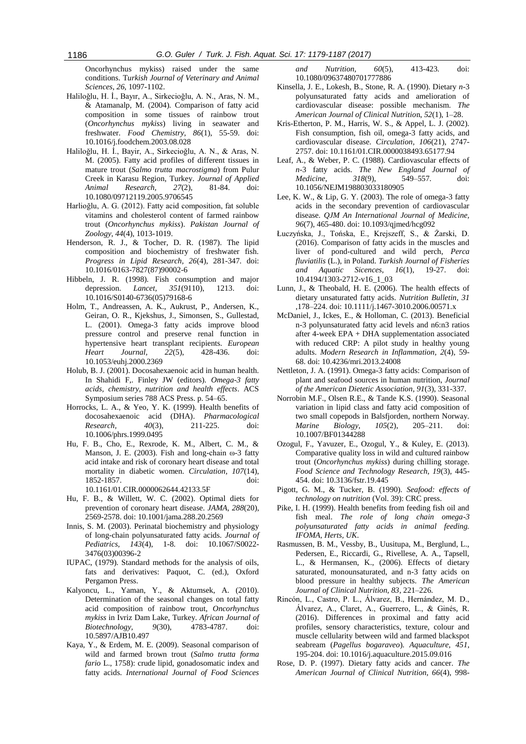Oncorhynchus mykiss) raised under the same conditions. T*urkish Journal of Veterinary and Animal Sciences*, *26*, 1097-1102.

- <span id="page-7-8"></span>Haliloǧlu, H. İ., Bayır, A., Sirkecioǧlu, A. N., Aras, N. M., & Atamanalp, M. (2004). Comparison of fatty acid composition in some tissues of rainbow trout (*Oncorhynchus mykiss*) living in seawater and freshwater. *Food Chemistry, 86*(1), 55-59. doi: [10.1016/j.foodchem.2003.08.028](http://dx.doi.org/10.1016/j.foodchem.2003.08.028)
- <span id="page-7-13"></span>Haliloğlu, H. İ., Bayir, A., Sirkecioğlu, A. N., & Aras, N. M. (2005). Fatty acid profiles of different tissues in mature trout (*Salmo trutta macrostigma*) from Pulur Creek in Karasu Region, Turkey. *Journal of Applied Animal Research, 27*(2), 81-84. doi: [10.1080/09712119.2005.9706545](http://dx.doi.org/10.1080/09712119.2005.9706545)
- Harlioğlu, A. G. (2012). Fatty acid composition, fat soluble vitamins and cholesterol content of farmed rainbow trout (*Oncorhynchus mykiss*). *Pakistan Journal of Zoology*, *44*(4), 1013-1019.
- <span id="page-7-9"></span>Henderson, R. J., & Tocher, D. R. (1987). The lipid composition and biochemistry of freshwater fish. *Progress in Lipid Research, 26*(4), 281-347. doi: [10.1016/0163-7827\(87\)90002-6](http://dx.doi.org/10.1016/0163-7827(87)90002-6)
- <span id="page-7-3"></span>Hibbeln, J. R. (1998). Fish consumption and major depression. *Lancet, 351*(9110), 1213. doi: 10.1016/S0140-6736(05)79168-6
- <span id="page-7-4"></span>Holm, T., Andreassen, A. K., Aukrust, P., Andersen, K., Geiran, O. R., Kjekshus, J., Simonsen, S., Gullestad, L. (2001). Omega-3 fatty acids improve blood pressure control and preserve renal function in hypertensive heart transplant recipients. *European Heart Journal, 22*(5), 428-436. doi: [10.1053/euhj.2000.2369](http://dx.doi.org/10.1053/euhj.2000.2369)
- Holub, B. J. (2001). Docosahexaenoic acid in human health. In Shahidi F,. Finley JW (editors). *Omega-3 fatty acids, chemistry, nutrition and health effects*. ACS Symposium series 788 ACS Press. p. 54–65.
- <span id="page-7-16"></span>Horrocks, L. A., & Yeo, Y. K. (1999). Health benefits of docosahexaenoic acid (DHA). *Pharmacological Research, 40*(3), 211-225. doi: 10.1006/phrs.1999.0495
- <span id="page-7-5"></span>Hu, F. B., Cho, E., Rexrode, K. M., Albert, C. M., & Manson, J. E. (2003). Fish and long-chain ω-3 fatty acid intake and risk of coronary heart disease and total mortality in diabetic women. *Circulation, 107*(14), 1852-1857. doi: 10.1161/01.CIR.0000062644.42133.5F
- <span id="page-7-0"></span>Hu, F. B., & Willett, W. C. (2002). Optimal diets for prevention of coronary heart disease. *JAMA, 288*(20), 2569-2578. doi: 10.1001/jama.288.20.2569
- <span id="page-7-17"></span>Innis, S. M. (2003). Perinatal biochemistry and physiology of long-chain polyunsaturated fatty acids. *Journal of Pediatrics, 143*(4), 1-8. doi: 10.1067/S0022- 3476(03)00396-2
- <span id="page-7-12"></span>IUPAC, (1979). Standard methods for the analysis of oils, fats and derivatives: Paquot, C. (ed.), Oxford Pergamon Press.
- <span id="page-7-14"></span>Kalyoncu, L., Yaman, Y., & Aktumsek, A. (2010). Determination of the seasonal changes on total fatty acid composition of rainbow trout, *Oncorhynchus mykiss* in Ivriz Dam Lake, Turkey. *African Journal of Biotechnology, 9*(30), 4783-4787. doi: 10.5897/AJB10.497
- <span id="page-7-18"></span>Kaya, Y., & Erdem, M. E. (2009). Seasonal comparison of wild and farmed brown trout (*Salmo trutta forma fario* L., 1758): crude lipid, gonadosomatic index and fatty acids. *International Journal of Food Sciences*

*and Nutrition, 60*(5), 413-423. doi: [10.1080/09637480701777886](http://dx.doi.org/10.1080/09637480701777886)

- Kinsella, J. E., Lokesh, B., Stone, R. A. (1990). Dietary *n*-3 polyunsaturated fatty acids and amelioration of cardiovascular disease: possible mechanism. *The American Journal of Clinical Nutritio*n, *52*(1), 1–28.
- <span id="page-7-2"></span>Kris-Etherton, P. M., Harris, W. S., & Appel, L. J. (2002). Fish consumption, fish oil, omega-3 fatty acids, and cardiovascular disease. *Circulation, 106*(21), 2747- 2757. doi: 10.1161/01.CIR.0000038493.65177.94
- Leaf, A., & Weber, P. C. (1988). Cardiovascular effects of *n*-3 fatty acids. *The New England Journal of Medicine*, *318*(9), 549–557. doi: [10.1056/NEJM198803033180905](https://doi.org/10.1056/NEJM198803033180905)
- <span id="page-7-1"></span>Lee, K. W., & Lip, G. Y. (2003). The role of omega-3 fatty acids in the secondary prevention of cardiovascular disease. *QJM An International Journal of Medicine, 96*(7), 465-480. doi[: 10.1093/qjmed/hcg092](https://doi.org/10.1093/qjmed/hcg092)
- <span id="page-7-11"></span>Łuczyńska, J., Tońska, E., Krejszeff, S., & Żarski, D. (2016). Comparison of fatty acids in the muscles and liver of pond-cultured and wild perch, *Perca fluviatilis* (L.), in Poland. *Turkish Journal of Fisheries and Aquatic Sicences, 16*(1), 19-27. doi: 10.4194/1303-2712-v16\_1\_03
- Lunn, J., & Theobald, H. E. (2006). The health effects of dietary unsaturated fatty acids. *Nutrition Bulletin*, *31* ,178–224. doi: 10.1111/j.1467-3010.2006.00571.x
- McDaniel, J., Ickes, E., & Holloman, C. (2013). Beneficial n-3 polyunsaturated fatty acid levels and n6:n3 ratios after 4-week EPA + DHA supplementation associated with reduced CRP: A pilot study in healthy young adults. *Modern Research in Inflammation*, *2*(4), 59- 68. doi: 10.4236/mri.2013.24008
- Nettleton, J. A. (1991). Omega-3 fatty acids: Comparison of plant and seafood sources in human nutrition, *Journal of the American Dietetic Association*, *91*(3), 331-337.
- Norrobin M.F., Olsen R.E., & Tande K.S. (1990). Seasonal variation in lipid class and fatty acid composition of two small copepods in Balsfjorden, northern Norway. *Marine Biology*, *105*(2), 205–211. doi: 10.1007/BF01344288
- <span id="page-7-10"></span>Ozogul, F., Yavuzer, E., Ozogul, Y., & Kuley, E. (2013). Comparative quality loss in wild and cultured rainbow trout (*Oncorhynchus mykiss*) during chilling storage. *Food Science and Technology Research, 19*(3), 445- 454. doi: 10.3136/fstr.19.445
- <span id="page-7-19"></span>Pigott, G. M., & Tucker, B. (1990). *Seafood: effects of technology on nutrition* (Vol. 39): CRC press.
- <span id="page-7-6"></span>Pike, I. H. (1999). Health benefits from feeding fish oil and fish meal. *The role of long chain omega-3 polyunsaturated fatty acids in animal feeding. IFOMA, Herts, UK*.
- Rasmussen, B. M., Vessby, B., Uusitupa, M., Berglund, L., Pedersen, E., Riccardi, G., Rivellese, A. A., Tapsell, L., & Hermansen, K., (2006). Effects of dietary saturated, monounsaturated, and n-3 fatty acids on blood pressure in healthy subjects. *The American Journal of Clinical Nutrition, 83*, 221–226.
- <span id="page-7-15"></span>Rincón, L., Castro, P. L., Álvarez, B., Hernández, M. D., Álvarez, A., Claret, A., Guerrero, L., & Ginés, R. (2016). Differences in proximal and fatty acid profiles, sensory characteristics, texture, colour and muscle cellularity between wild and farmed blackspot seabream (*Pagellus bogaraveo*). *Aquaculture, 451*, 195-204. doi[: 10.1016/j.aquaculture.2015.09.016](http://dx.doi.org/10.1016/j.aquaculture.2015.09.016)
- <span id="page-7-7"></span>Rose, D. P. (1997). Dietary fatty acids and cancer. *The American Journal of Clinical Nutrition, 66*(4), 998-